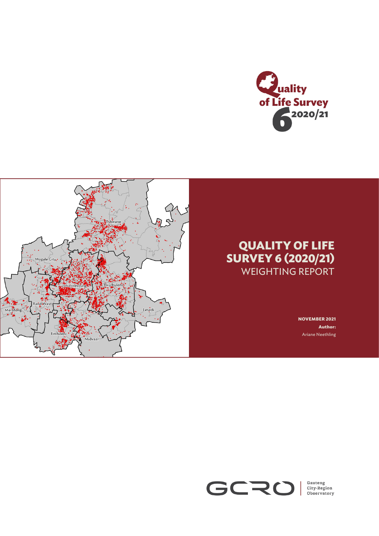



# **QUALITY OF LIFE SURVEY 6 (2020/21)**  WEIGHTING REPORT

**NOVEMBER 2021 Author:** Ariane Neethling

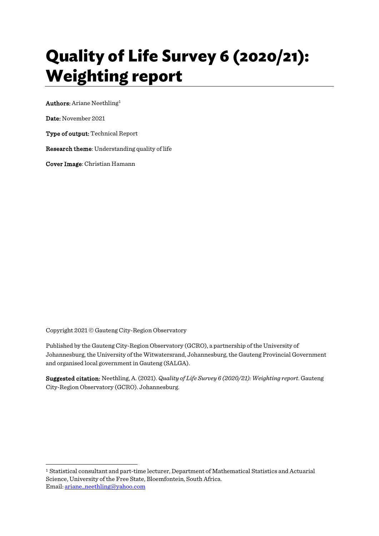# **Quality of Life Survey 6 (2020/21): Weighting report**

Authors: Ariane Neethling[1](#page-1-0)

Date: November 2021

Type of output: Technical Report

Research theme: Understanding quality of life

Cover Image: Christian Hamann

Copyright 2021 © Gauteng City-Region Observatory

Published by the Gauteng City-Region Observatory (GCRO), a partnership of the University of Johannesburg, the University of the Witwatersrand, Johannesburg, the Gauteng Provincial Government and organised local government in Gauteng (SALGA).

Suggested citation: Neethling, A. (2021). *Quality of Life Survey 6 (2020/21): Weighting report*. Gauteng City-Region Observatory (GCRO). Johannesburg.

<span id="page-1-0"></span>1 <sup>1</sup> Statistical consultant and part-time lecturer, Department of Mathematical Statistics and Actuarial Science, University of the Free State, Bloemfontein, South Africa. Email[: ariane\\_neethling@yahoo.com](mailto:ariane_neethling@yahoo.com)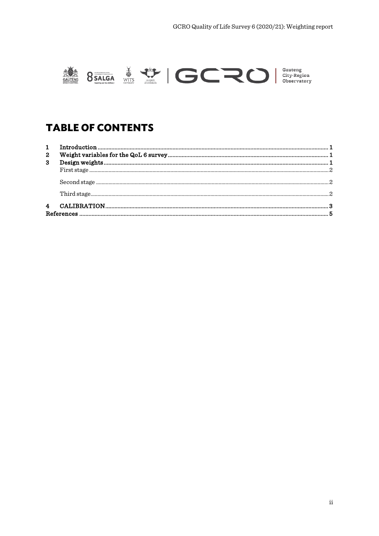

**TABLE OF CONTENTS** 

| $\mathbf{2}$ |  |
|--------------|--|
| 3            |  |
|              |  |
|              |  |
|              |  |
|              |  |
|              |  |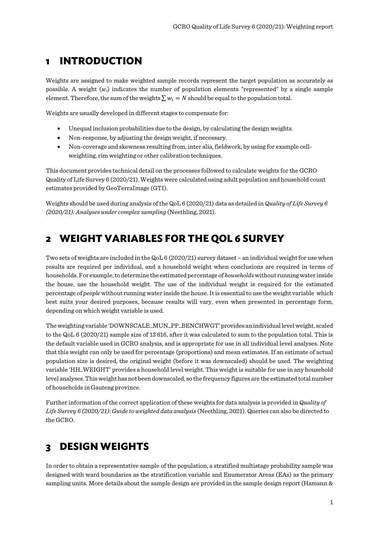## <span id="page-3-0"></span>**1 INTRODUCTION**

Weights are assigned to make weighted sample records represent the target population as accurately as possible. A weight (*wi*) indicates the number of population elements "represented" by a single sample element. Therefore, the sum of the weights  $\sum w_i = N$  should be equal to the population total.

Weights are usually developed in different stages to compensate for:

- Unequal inclusion probabilities due to the design, by calculating the design weights.
- Non-response, by adjusting the design weight, if necessary.
- Non-coverage and skewness resulting from, inter alia, fieldwork, by using for example cellweighting, rim weighting or other calibration techniques.

This document provides technical detail on the processes followed to calculate weights for the GCRO Quality of Life Survey 6 (2020/21). Weights were calculated using adult population and household count estimates provided by GeoTerraImage (GTI).

Weights should be used during analysis of the QoL 6 (2020/21) data as detailed in *Quality of Life Survey 6 (2020/21): Analyses under complex sampling* (Neethling, 2021).

## <span id="page-3-1"></span>**2 WEIGHT VARIABLES FOR THE QOL 6 SURVEY**

Two sets of weights are included in the QoL 6 (2020/21) survey dataset – an individual weight for use when results are required per individual, and a household weight when conclusions are required in terms of households. For example, to determine the estimated percentage of *households*without running water inside the house, use the household weight. The use of the individual weight is required for the estimated percentage of *people* without running water inside the house.It is essential to use the weight variable which best suits your desired purposes, because results will vary, even when presented in percentage form, depending on which weight variable is used.

The weighting variable 'DOWNSCALE\_MUN\_PP\_BENCHWGT' provides an individual level weight, scaled to the QoL 6 (2020/21) sample size of 13 616, after it was calculated to sum to the population total. This is the default variable used in GCRO analysis, and is appropriate for use in all individual level analyses. Note that this weight can only be used for percentage (proportions) and mean estimates. If an estimate of actual population size is desired, the original weight (before it was downscaled) should be used. The weighting variable 'HH\_WEIGHT' provides a household level weight. This weight is suitable for use in any household level analyses. This weight has not been downscaled, so the frequency figures are the estimated total number of households in Gauteng province.

Further information of the correct application of these weights for data analysis is provided in *Quality of Life Survey 6 (2020/21): Guide to weighted data analysis* (Neethling, 2021). Queries can also be directed to the GCRO.

## <span id="page-3-2"></span>**3 DESIGN WEIGHTS**

In order to obtain a representative sample of the population, a stratified multistage probability sample was designed with ward boundaries as the stratification variable and Enumerator Areas (EAs) as the primary sampling units. More details about the sample design are provided in the sample design report (Hamann &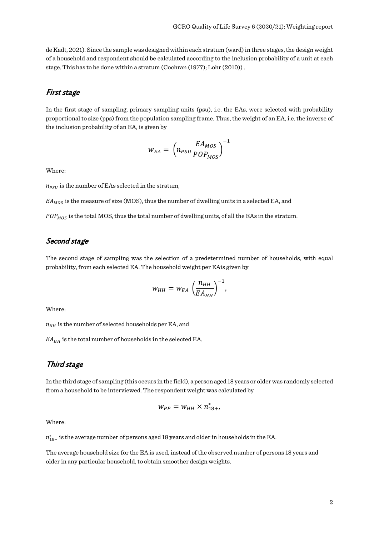de Kadt, 2021). Since the sample was designed within each stratum (ward) in three stages, the design weight of a household and respondent should be calculated according to the inclusion probability of a unit at each stage. This has to be done within a stratum (Cochran (1977); Lohr (2010)) .

#### <span id="page-4-0"></span>First stage

In the first stage of sampling, primary sampling units (psu), i.e. the EAs, were selected with probability proportional to size (pps) from the population sampling frame. Thus, the weight of an EA, i.e. the inverse of the inclusion probability of an EA, is given by

$$
w_{EA} = \left(n_{PSU} \frac{EA_{MOS}}{POP_{MOS}}\right)^{-1}
$$

Where:

 $n_{PSII}$  is the number of EAs selected in the stratum,

 $E A_{MOS}$  is the measure of size (MOS), thus the number of dwelling units in a selected EA, and

 $POP_{MOS}$  is the total MOS, thus the total number of dwelling units, of all the EAs in the stratum.

#### <span id="page-4-1"></span>Second stage

The second stage of sampling was the selection of a predetermined number of households, with equal probability, from each selected EA. The household weight per EAis given by

$$
w_{HH} = w_{EA} \left(\frac{n_{HH}}{EA_{HH}}\right)^{-1},
$$

Where:

 $n_{HH}$  is the number of selected households per EA, and

 $EA_{HH}$  is the total number of households in the selected EA.

#### <span id="page-4-2"></span>Third stage

In the third stage of sampling (this occurs in the field), a person aged 18 years or older was randomly selected from a household to be interviewed. The respondent weight was calculated by

$$
w_{PP}=w_{HH}\times n_{18+}^*,
$$

Where:

 $n_{18+}^*$  is the average number of persons aged 18 years and older in households in the EA.

The average household size for the EA is used, instead of the observed number of persons 18 years and older in any particular household, to obtain smoother design weights.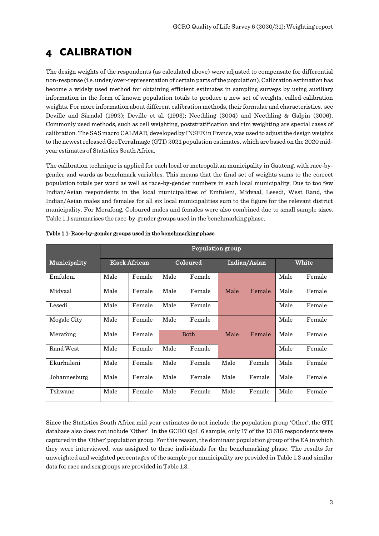## <span id="page-5-0"></span>**4 CALIBRATION**

The design weights of the respondents (as calculated above) were adjusted to compensate for differential non-response (i.e. under/over-representation of certain parts of the population). Calibration estimation has become a widely used method for obtaining efficient estimates in sampling surveys by using auxiliary information in the form of known population totals to produce a new set of weights, called calibration weights. For more information about different calibration methods, their formulae and characteristics, see Deville and Särndal (1992); Deville et al. (1993); Neethling (2004) and Neethling & Galpin (2006). Commonly used methods, such as cell weighting, poststratification and rim weighting are special cases of calibration.The SAS macro CALMAR, developed by INSEE in France, was used to adjust the design weights to the newest released GeoTerraImage (GTI) 2021 population estimates, which are based on the 2020 midyear estimates of Statistics South Africa.

The calibration technique is applied for each local or metropolitan municipality in Gauteng, with race-bygender and wards as benchmark variables. This means that the final set of weights sums to the correct population totals per ward as well as race-by-gender numbers in each local municipality. Due to too few Indian/Asian respondents in the local municipalities of Emfuleni, Midvaal, Lesedi, West Rand, the Indian/Asian males and females for all six local municipalities sum to the figure for the relevant district municipality. For Merafong, Coloured males and females were also combined due to small sample sizes. Table 1.1 summarises the race-by-gender groups used in the benchmarking phase.

|              | Population group     |        |             |        |              |        |       |        |
|--------------|----------------------|--------|-------------|--------|--------------|--------|-------|--------|
| Municipality | <b>Black African</b> |        | Coloured    |        | Indian/Asian |        | White |        |
| Emfuleni     | Male                 | Female | Male        | Female |              |        | Male  | Female |
| Midvaal      | Male                 | Female | Male        | Female | Male         | Female | Male  | Female |
| Lesedi       | Male                 | Female | Male        | Female |              |        | Male  | Female |
| Mogale City  | Male                 | Female | Male        | Female |              |        | Male  | Female |
| Merafong     | Male                 | Female | <b>Both</b> |        | Male         | Female | Male  | Female |
| Rand West    | Male                 | Female | Male        | Female |              |        | Male  | Female |
| Ekurhuleni   | Male                 | Female | Male        | Female | Male         | Female | Male  | Female |
| Johannesburg | Male                 | Female | Male        | Female | Male         | Female | Male  | Female |
| Tshwane      | Male                 | Female | Male        | Female | Male         | Female | Male  | Female |

Table 1.1: Race-by-gender groups used in the benchmarking phase

Since the Statistics South Africa mid-year estimates do not include the population group 'Other', the GTI database also does not include 'Other'. In the GCRO QoL 6 sample, only 17 of the 13 616 respondents were captured in the 'Other' population group. For this reason, the dominant population group of the EA in which they were interviewed, was assigned to these individuals for the benchmarking phase. The results for unweighted and weighted percentages of the sample per municipality are provided in Table 1.2 and similar data for race and sex groups are provided in Table 1.3.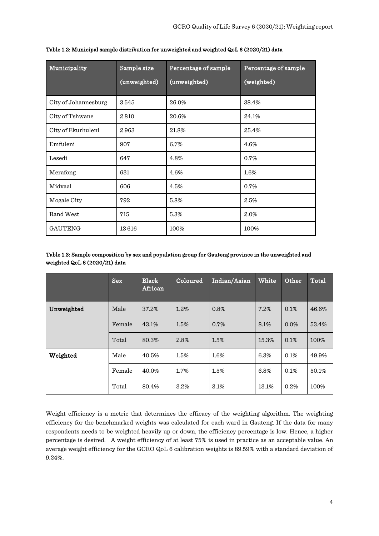| Municipality         | Sample size  | Percentage of sample | Percentage of sample |  |  |
|----------------------|--------------|----------------------|----------------------|--|--|
|                      | (unweighted) | (unweighted)         | (weighted)           |  |  |
| City of Johannesburg | 3545         | 26.0%                | 38.4%                |  |  |
| City of Tshwane      | 2810         | 20.6%                | 24.1%                |  |  |
| City of Ekurhuleni   | 2963         | 21.8%                | 25.4%                |  |  |
| Emfuleni             | 907          | 6.7%                 | 4.6%                 |  |  |
| Lesedi               | 647          | 4.8%                 | 0.7%                 |  |  |
| Merafong             | 631          | 4.6%                 | 1.6%                 |  |  |
| Midvaal              | 606          | 4.5%                 | 0.7%                 |  |  |
| Mogale City          | 792          | 5.8%                 | 2.5%                 |  |  |
| Rand West            | 715          | 5.3%                 | 2.0%                 |  |  |
| <b>GAUTENG</b>       | 13616        | 100%                 | 100%                 |  |  |

#### Table 1.2: Municipal sample distribution for unweighted and weighted QoL 6 (2020/21) data

#### Table 1.3: Sample composition by sex and population group for Gauteng province in the unweighted and weighted QoL 6 (2020/21) data

|            | <b>Sex</b> | <b>Black</b><br>African | Coloured | Indian/Asian | White | Other   | Total |
|------------|------------|-------------------------|----------|--------------|-------|---------|-------|
| Unweighted | Male       | 37.2%                   | 1.2%     | 0.8%         | 7.2%  | 0.1%    | 46.6% |
|            | Female     | 43.1%                   | 1.5%     | 0.7%         | 8.1%  | $0.0\%$ | 53.4% |
|            | Total      | 80.3%                   | 2.8%     | 1.5%         | 15.3% | 0.1%    | 100%  |
| Weighted   | Male       | 40.5%                   | 1.5%     | 1.6%         | 6.3%  | 0.1%    | 49.9% |
|            | Female     | 40.0%                   | 1.7%     | 1.5%         | 6.8%  | 0.1%    | 50.1% |
|            | Total      | 80.4%                   | 3.2%     | 3.1%         | 13.1% | 0.2%    | 100%  |

Weight efficiency is a metric that determines the efficacy of the weighting algorithm. The weighting efficiency for the benchmarked weights was calculated for each ward in Gauteng. If the data for many respondents needs to be weighted heavily up or down, the efficiency percentage is low. Hence, a higher percentage is desired. A weight efficiency of at least 75% is used in practice as an acceptable value. An average weight efficiency for the GCRO QoL 6 calibration weights is 89.59% with a standard deviation of 9.24%.